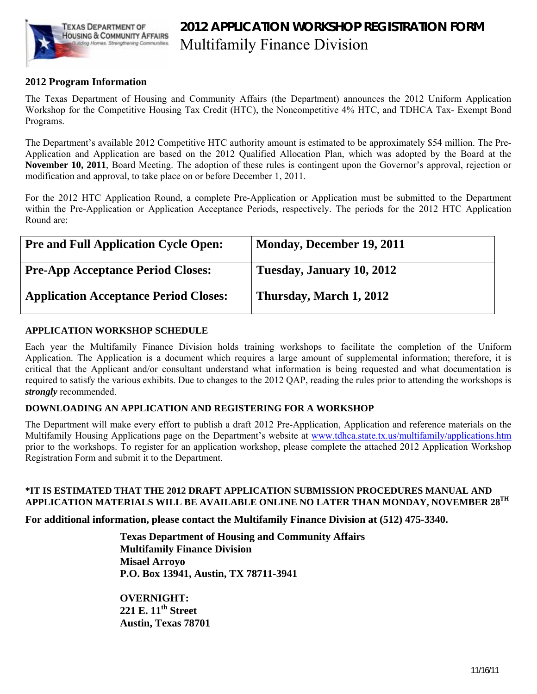

## **2012 APPLICATION WORKSHOP REGISTRATION FORM**  Multifamily Finance Division

#### **2012 Program Information**

The Texas Department of Housing and Community Affairs (the Department) announces the 2012 Uniform Application Workshop for the Competitive Housing Tax Credit (HTC), the Noncompetitive 4% HTC, and TDHCA Tax- Exempt Bond Programs.

The Department's available 2012 Competitive HTC authority amount is estimated to be approximately \$54 million. The Pre-Application and Application are based on the 2012 Qualified Allocation Plan, which was adopted by the Board at the **November 10, 2011**, Board Meeting. The adoption of these rules is contingent upon the Governor's approval, rejection or modification and approval, to take place on or before December 1, 2011.

For the 2012 HTC Application Round, a complete Pre-Application or Application must be submitted to the Department within the Pre-Application or Application Acceptance Periods, respectively. The periods for the 2012 HTC Application Round are:

| <b>Pre and Full Application Cycle Open:</b>  | Monday, December 19, 2011 |
|----------------------------------------------|---------------------------|
| <b>Pre-App Acceptance Period Closes:</b>     | Tuesday, January 10, 2012 |
| <b>Application Acceptance Period Closes:</b> | Thursday, March 1, 2012   |

#### **APPLICATION WORKSHOP SCHEDULE**

Each year the Multifamily Finance Division holds training workshops to facilitate the completion of the Uniform Application. The Application is a document which requires a large amount of supplemental information; therefore, it is critical that the Applicant and/or consultant understand what information is being requested and what documentation is required to satisfy the various exhibits. Due to changes to the 2012 QAP, reading the rules prior to attending the workshops is *strongly* recommended.

#### **DOWNLOADING AN APPLICATION AND REGISTERING FOR A WORKSHOP**

The Department will make every effort to publish a draft 2012 Pre-Application, Application and reference materials on the Multifamily Housing Applications page on the Department's website at [www.tdhca.state.tx.us/multifamily/applications.htm](http://www.tdhca.state.tx.us/multifamily/applications.htm) prior to the workshops. To register for an application workshop, please complete the attached 2012 Application Workshop Registration Form and submit it to the Department.

#### **\*IT IS ESTIMATED THAT THE 2012 DRAFT APPLICATION SUBMISSION PROCEDURES MANUAL AND APPLICATION MATERIALS WILL BE AVAILABLE ONLINE NO LATER THAN MONDAY, NOVEMBER 28TH**

**For additional information, please contact the Multifamily Finance Division at (512) 475-3340.**

**Texas Department of Housing and Community Affairs Multifamily Finance Division Misael Arroyo P.O. Box 13941, Austin, TX 78711-3941** 

**OVERNIGHT: 221 E. 11th Street Austin, Texas 78701**